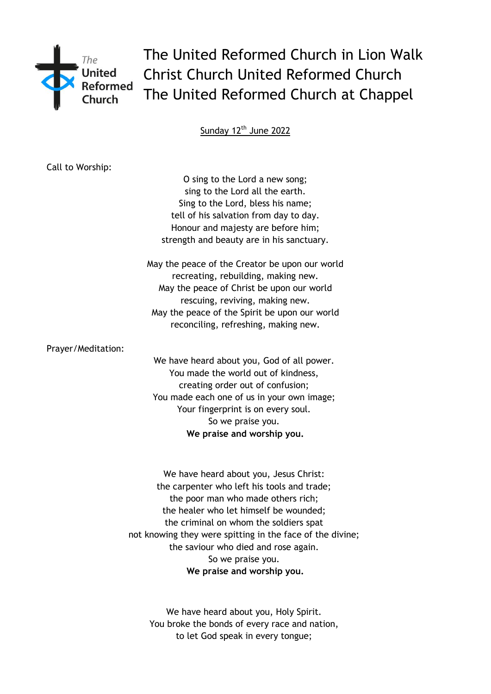

The United Reformed Church in Lion Walk Christ Church United Reformed Church The United Reformed Church at Chappel

Sunday 12<sup>th</sup> June 2022

| Call to Worship:   |                                                           |
|--------------------|-----------------------------------------------------------|
|                    | O sing to the Lord a new song;                            |
|                    | sing to the Lord all the earth.                           |
|                    | Sing to the Lord, bless his name;                         |
|                    | tell of his salvation from day to day.                    |
|                    | Honour and majesty are before him;                        |
|                    | strength and beauty are in his sanctuary.                 |
|                    | May the peace of the Creator be upon our world            |
|                    | recreating, rebuilding, making new.                       |
|                    | May the peace of Christ be upon our world                 |
|                    | rescuing, reviving, making new.                           |
|                    | May the peace of the Spirit be upon our world             |
|                    | reconciling, refreshing, making new.                      |
| Prayer/Meditation: |                                                           |
|                    | We have heard about you, God of all power.                |
|                    | You made the world out of kindness,                       |
|                    | creating order out of confusion;                          |
|                    | You made each one of us in your own image;                |
|                    | Your fingerprint is on every soul.                        |
|                    | So we praise you.                                         |
|                    | We praise and worship you.                                |
|                    |                                                           |
|                    | We have heard about you, Jesus Christ:                    |
|                    | the carpenter who left his tools and trade;               |
|                    | the poor man who made others rich;                        |
|                    | the healer who let himself be wounded;                    |
|                    | the criminal on whom the soldiers spat                    |
|                    | not knowing they were spitting in the face of the divine; |
|                    | the saviour who died and rose again.                      |
|                    | So we praise you.                                         |
|                    | We praise and worship you.                                |

We have heard about you, Holy Spirit. You broke the bonds of every race and nation, to let God speak in every tongue;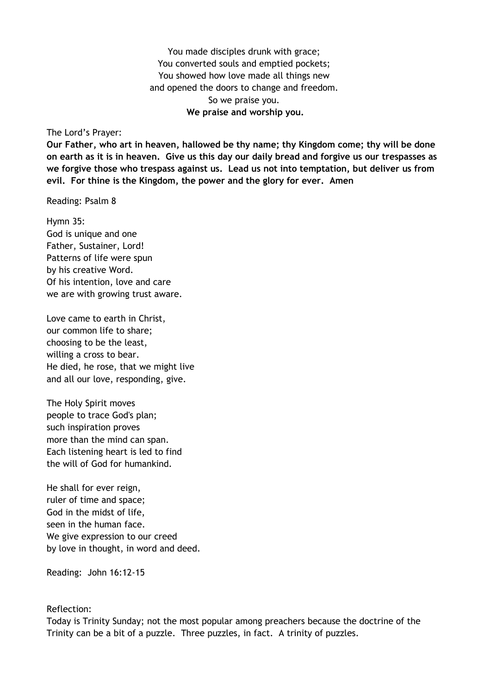You made disciples drunk with grace; You converted souls and emptied pockets; You showed how love made all things new and opened the doors to change and freedom. So we praise you. **We praise and worship you.**

The Lord's Prayer:

**Our Father, who art in heaven, hallowed be thy name; thy Kingdom come; thy will be done on earth as it is in heaven. Give us this day our daily bread and forgive us our trespasses as we forgive those who trespass against us. Lead us not into temptation, but deliver us from evil. For thine is the Kingdom, the power and the glory for ever. Amen** 

Reading: Psalm 8

Hymn 35: God is unique and one Father, Sustainer, Lord! Patterns of life were spun by his creative Word. Of his intention, love and care we are with growing trust aware.

Love came to earth in Christ, our common life to share; choosing to be the least, willing a cross to bear. He died, he rose, that we might live and all our love, responding, give.

The Holy Spirit moves people to trace God's plan; such inspiration proves more than the mind can span. Each listening heart is led to find the will of God for humankind.

He shall for ever reign, ruler of time and space; God in the midst of life, seen in the human face. We give expression to our creed by love in thought, in word and deed.

Reading: John 16:12-15

## Reflection:

Today is Trinity Sunday; not the most popular among preachers because the doctrine of the Trinity can be a bit of a puzzle. Three puzzles, in fact. A trinity of puzzles.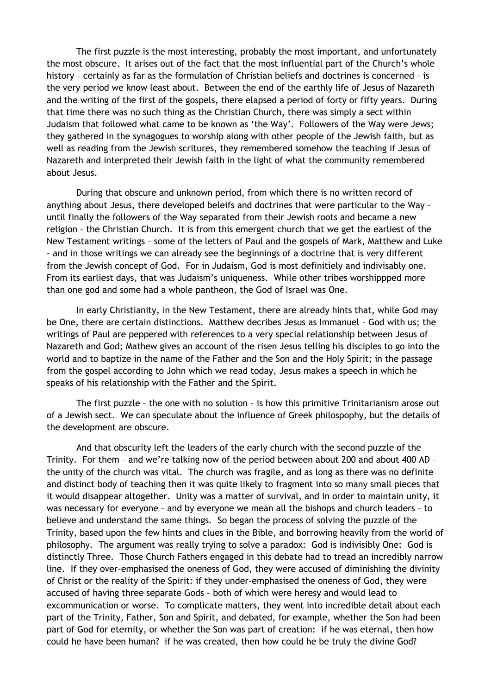The first puzzle is the most interesting, probably the most important, and unfortunately the most obscure. It arises out of the fact that the most influential part of the Church's whole history – certainly as far as the formulation of Christian beliefs and doctrines is concerned – is the very period we know least about. Between the end of the earthly life of Jesus of Nazareth and the writing of the first of the gospels, there elapsed a period of forty or fifty years. During that time there was no such thing as the Christian Church, there was simply a sect within Judaism that followed what came to be known as 'the Way'. Followers of the Way were Jews; they gathered in the synagogues to worship along with other people of the Jewish faith, but as well as reading from the Jewish scritures, they remembered somehow the teaching if Jesus of Nazareth and interpreted their Jewish faith in the light of what the community remembered about Jesus.

During that obscure and unknown period, from which there is no written record of anything about Jesus, there developed beleifs and doctrines that were particular to the Way – until finally the followers of the Way separated from their Jewish roots and became a new religion – the Christian Church. It is from this emergent church that we get the earliest of the New Testament writings – some of the letters of Paul and the gospels of Mark, Matthew and Luke - and in those writings we can already see the beginnings of a doctrine that is very different from the Jewish concept of God. For in Judaism, God is most definitiely and indivisably one. From its earliest days, that was Judaism's uniqueness. While other tribes worshippped more than one god and some had a whole pantheon, the God of Israel was One.

In early Christianity, in the New Testament, there are already hints that, while God may be One, there are certain distinctions. Matthew decribes Jesus as Immanuel – God with us; the writings of Paul are peppered with references to a very special relationship between Jesus of Nazareth and God; Mathew gives an account of the risen Jesus telling his disciples to go into the world and to baptize in the name of the Father and the Son and the Holy Spirit; in the passage from the gospel according to John which we read today, Jesus makes a speech in which he speaks of his relationship with the Father and the Spirit.

The first puzzle – the one with no solution – is how this primitive Trinitarianism arose out of a Jewish sect. We can speculate about the influence of Greek philospophy, but the details of the development are obscure.

And that obscurity left the leaders of the early church with the second puzzle of the Trinity. For them – and we're talking now of the period between about 200 and about 400 AD – the unity of the church was vital. The church was fragile, and as long as there was no definite and distinct body of teaching then it was quite likely to fragment into so many small pieces that it would disappear altogether. Unity was a matter of survival, and in order to maintain unity, it was necessary for everyone – and by everyone we mean all the bishops and church leaders – to believe and understand the same things. So began the process of solving the puzzle of the Trinity, based upon the few hints and clues in the Bible, and borrowing heavily from the world of philosophy. The argument was really trying to solve a paradox: God is indivisibly One: God is distinctly Three. Those Church Fathers engaged in this debate had to tread an incredibly narrow line. If they over-emphasised the oneness of God, they were accused of diminishing the divinity of Christ or the reality of the Spirit: if they under-emphasised the oneness of God, they were accused of having three separate Gods – both of which were heresy and would lead to excommunication or worse. To complicate matters, they went into incredible detail about each part of the Trinity, Father, Son and Spirit, and debated, for example, whether the Son had been part of God for eternity, or whether the Son was part of creation: if he was eternal, then how could he have been human? if he was created, then how could he be truly the divine God?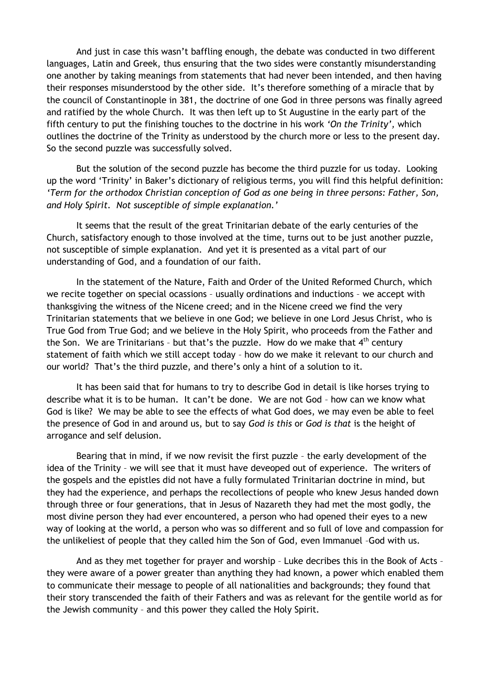And just in case this wasn't baffling enough, the debate was conducted in two different languages, Latin and Greek, thus ensuring that the two sides were constantly misunderstanding one another by taking meanings from statements that had never been intended, and then having their responses misunderstood by the other side. It's therefore something of a miracle that by the council of Constantinople in 381, the doctrine of one God in three persons was finally agreed and ratified by the whole Church. It was then left up to St Augustine in the early part of the fifth century to put the finishing touches to the doctrine in his work *'On the Trinity',* which outlines the doctrine of the Trinity as understood by the church more or less to the present day. So the second puzzle was successfully solved.

But the solution of the second puzzle has become the third puzzle for us today. Looking up the word 'Trinity' in Baker's dictionary of religious terms, you will find this helpful definition: *'Term for the orthodox Christian conception of God as one being in three persons: Father, Son, and Holy Spirit. Not susceptible of simple explanation.'*

It seems that the result of the great Trinitarian debate of the early centuries of the Church, satisfactory enough to those involved at the time, turns out to be just another puzzle, not susceptible of simple explanation. And yet it is presented as a vital part of our understanding of God, and a foundation of our faith.

In the statement of the Nature, Faith and Order of the United Reformed Church, which we recite together on special ocassions – usually ordinations and inductions – we accept with thanksgiving the witness of the Nicene creed; and in the Nicene creed we find the very Trinitarian statements that we believe in one God; we believe in one Lord Jesus Christ, who is True God from True God; and we believe in the Holy Spirit, who proceeds from the Father and the Son. We are Trinitarians - but that's the puzzle. How do we make that  $4<sup>th</sup>$  century statement of faith which we still accept today – how do we make it relevant to our church and our world? That's the third puzzle, and there's only a hint of a solution to it.

It has been said that for humans to try to describe God in detail is like horses trying to describe what it is to be human. It can't be done. We are not God – how can we know what God is like? We may be able to see the effects of what God does, we may even be able to feel the presence of God in and around us, but to say *God is this* or *God is that* is the height of arrogance and self delusion.

Bearing that in mind, if we now revisit the first puzzle – the early development of the idea of the Trinity – we will see that it must have deveoped out of experience. The writers of the gospels and the epistles did not have a fully formulated Trinitarian doctrine in mind, but they had the experience, and perhaps the recollections of people who knew Jesus handed down through three or four generations, that in Jesus of Nazareth they had met the most godly, the most divine person they had ever encountered, a person who had opened their eyes to a new way of looking at the world, a person who was so different and so full of love and compassion for the unlikeliest of people that they called him the Son of God, even Immanuel –God with us.

And as they met together for prayer and worship – Luke decribes this in the Book of Acts – they were aware of a power greater than anything they had known, a power which enabled them to communicate their message to people of all nationalities and backgrounds; they found that their story transcended the faith of their Fathers and was as relevant for the gentile world as for the Jewish community – and this power they called the Holy Spirit.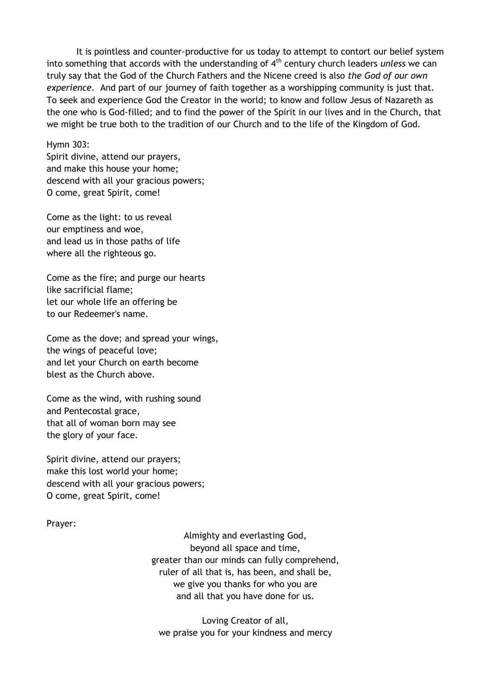It is pointless and counter-productive for us today to attempt to contort our belief system into something that accords with the understanding of 4<sup>th</sup> century church leaders *unless* we can truly say that the God of the Church Fathers and the Nicene creed is also *the God of our own experience*. And part of our journey of faith together as a worshipping community is just that. To seek and experience God the Creator in the world; to know and follow Jesus of Nazareth as the one who is God-filled; and to find the power of the Spirit in our lives and in the Church, that we might be true both to the tradition of our Church and to the life of the Kingdom of God.

Hymn 303:

Spirit divine, attend our prayers, and make this house your home; descend with all your gracious powers; O come, great Spirit, come!

Come as the light: to us reveal our emptiness and woe, and lead us in those paths of life where all the righteous go.

Come as the fire; and purge our hearts like sacrificial flame; let our whole life an offering be to our Redeemer's name.

Come as the dove; and spread your wings, the wings of peaceful love; and let your Church on earth become blest as the Church above.

Come as the wind, with rushing sound and Pentecostal grace, that all of woman born may see the glory of your face.

Spirit divine, attend our prayers; make this lost world your home; descend with all your gracious powers; O come, great Spirit, come!

Prayer:

Almighty and everlasting God, beyond all space and time, greater than our minds can fully comprehend, ruler of all that is, has been, and shall be, we give you thanks for who you are and all that you have done for us.

Loving Creator of all, we praise you for your kindness and mercy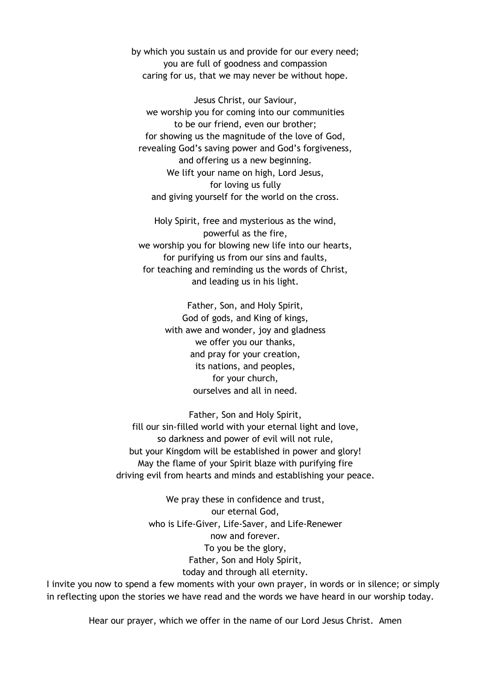by which you sustain us and provide for our every need; you are full of goodness and compassion caring for us, that we may never be without hope.

Jesus Christ, our Saviour, we worship you for coming into our communities to be our friend, even our brother; for showing us the magnitude of the love of God, revealing God's saving power and God's forgiveness, and offering us a new beginning. We lift your name on high, Lord Jesus, for loving us fully and giving yourself for the world on the cross.

Holy Spirit, free and mysterious as the wind, powerful as the fire, we worship you for blowing new life into our hearts, for purifying us from our sins and faults, for teaching and reminding us the words of Christ, and leading us in his light.

> Father, Son, and Holy Spirit, God of gods, and King of kings, with awe and wonder, joy and gladness we offer you our thanks, and pray for your creation, its nations, and peoples, for your church, ourselves and all in need.

Father, Son and Holy Spirit, fill our sin-filled world with your eternal light and love, so darkness and power of evil will not rule, but your Kingdom will be established in power and glory! May the flame of your Spirit blaze with purifying fire driving evil from hearts and minds and establishing your peace.

> We pray these in confidence and trust, our eternal God, who is Life-Giver, Life-Saver, and Life-Renewer now and forever. To you be the glory, Father, Son and Holy Spirit, today and through all eternity.

I invite you now to spend a few moments with your own prayer, in words or in silence; or simply in reflecting upon the stories we have read and the words we have heard in our worship today.

Hear our prayer, which we offer in the name of our Lord Jesus Christ. Amen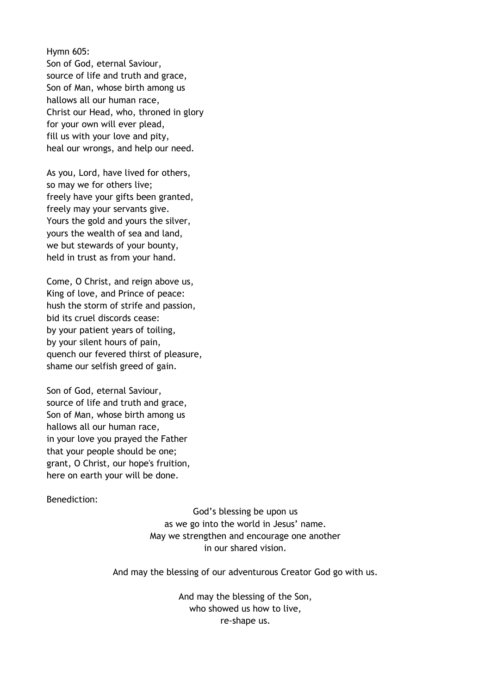Hymn 605: Son of God, eternal Saviour, source of life and truth and grace, Son of Man, whose birth among us hallows all our human race, Christ our Head, who, throned in glory for your own will ever plead, fill us with your love and pity, heal our wrongs, and help our need.

As you, Lord, have lived for others, so may we for others live; freely have your gifts been granted, freely may your servants give. Yours the gold and yours the silver, yours the wealth of sea and land, we but stewards of your bounty, held in trust as from your hand.

Come, O Christ, and reign above us, King of love, and Prince of peace: hush the storm of strife and passion, bid its cruel discords cease: by your patient years of toiling, by your silent hours of pain, quench our fevered thirst of pleasure, shame our selfish greed of gain.

Son of God, eternal Saviour, source of life and truth and grace, Son of Man, whose birth among us hallows all our human race, in your love you prayed the Father that your people should be one; grant, O Christ, our hope's fruition, here on earth your will be done.

## Benediction:

God's blessing be upon us as we go into the world in Jesus' name. May we strengthen and encourage one another in our shared vision.

And may the blessing of our adventurous Creator God go with us.

And may the blessing of the Son, who showed us how to live, re-shape us.